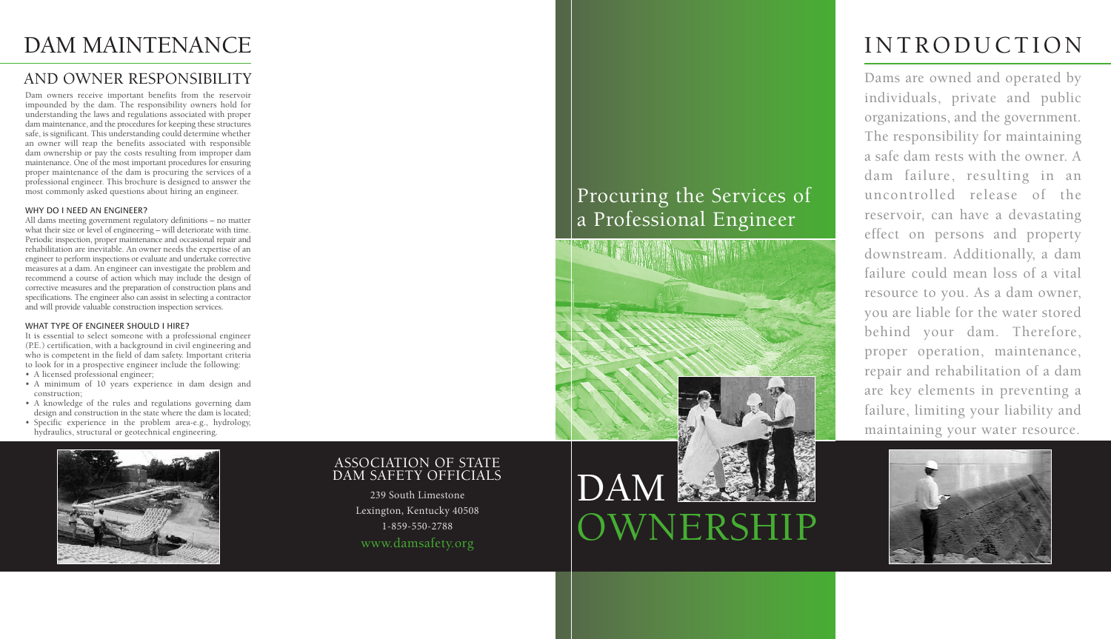# DAM OWNERSHIP

### Procuring the Services of a Professional Engineer



# INTRODUCTION

Dams are owned and operated by individuals, private and public organizations, and the government. The responsibility for maintaining a safe dam rests with the owner. A dam failure, resulting in an uncontrolled release of the reservoir, can have a devastating effect on persons and property downstream. Additionally, a dam failure could mean loss of a vital resource to you. As a dam owner, you are liable for the water stored behind your dam. Therefore, proper operation, maintenance, repair and rehabilitation of a dam are key elements in preventing a failure, limiting your liability and maintaining your water resource.



### DAM MAINTENANCE

### AND OWNER RESPONSIBILITY

Dam owners receive important benefits from the reservoir impounded by the dam. The responsibility owners hold for understanding the laws and regulations associated with proper dam maintenance, and the procedures for keeping these structures safe, is significant. This understanding could determine whether an owner will reap the benefits associated with responsible dam ownership or pay the costs resulting from improper dam maintenance. One of the most important procedures for ensuring proper maintenance of the dam is procuring the services of a professional engineer. This brochure is designed to answer the most commonly asked questions about hiring an engineer.

#### WHY DO I NEED AN ENGINEER?

All dams meeting government regulatory definitions – no matter what their size or level of engineering – will deteriorate with time. Periodic inspection, proper maintenance and occasional repair and rehabilitation are inevitable. An owner needs the expertise of an engineer to perform inspections or evaluate and undertake corrective measures at a dam. An engineer can investigate the problem and recommend a course of action which may include the design of corrective measures and the preparation of construction plans and specifications. The engineer also can assist in selecting a contractor and will provide valuable construction inspection services.

#### WHAT TYPE OF ENGINEER SHOULD I HIRE?

It is essential to select someone with a professional engineer (P.E.) certification, with a background in civil engineering and who is competent in the field of dam safety. Important criteria to look for in a prospective engineer include the following:

- A licensed professional engineer;
- A minimum of 10 years experience in dam design and construction;
- A knowledge of the rules and regulations governing dam design and construction in the state where the dam is located;
- Specific experience in the problem area-e.g., hydrology, hydraulics, structural or geotechnical engineering.



### ASSOCIATION OF STATE DAM SAFETY OFFICIALS

239 South Limestone Lexington, Kentucky 40508 1-859-550-2788 www.damsafety.org